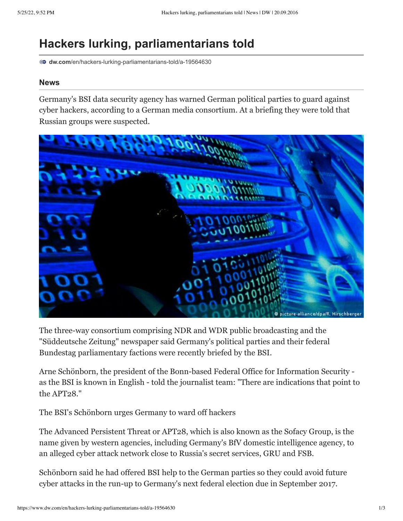## **Hackers lurking, parliamentarians told**

**dw.com**[/en/hackers-lurking-parliamentarians-told/a-19564630](https://www.dw.com/en/hackers-lurking-parliamentarians-told/a-19564630)

## **News**

Germany's BSI data security agency has warned German political parties to guard against cyber hackers, according to a German media consortium. At a briefing they were told that Russian groups were suspected.



The three-way consortium comprising NDR and WDR public broadcasting and the "Süddeutsche Zeitung" newspaper said Germany's political parties and their federal Bundestag parliamentary factions were recently briefed by the BSI.

Arne Schönborn, the president of the Bonn-based Federal Office for Information Security as the BSI is known in English - told the journalist team: "There are indications that point to the APT28."

The BSI's Schönborn urges Germany to ward off hackers

The Advanced Persistent Threat or APT28, which is also known as the Sofacy Group, is the name given by western agencies, including [Germany's BfV domestic intelligence agency](https://www.dw.com/en/germanys-domestic-intelligence-chief-accuses-russia-of-cyberwarfare/a-19256911), to an alleged cyber attack network close to Russia's secret services, GRU and FSB.

Schönborn said he had offered BSI help to the German parties so they could avoid future cyber attacks in the run-up to Germany's next federal election due in September 2017.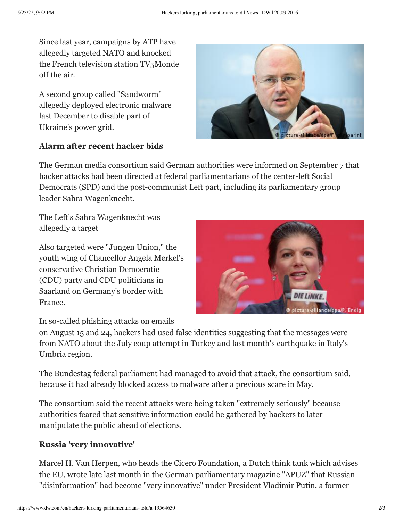Since last year, campaigns by ATP have allegedly targeted NATO and knocked the French television station TV5Monde off the air.

A second group called "Sandworm" allegedly deployed electronic malware last December to disable part of Ukraine's power grid.

## **Alarm after recent hacker bids**



The German media consortium said German authorities were informed on September 7 that hacker attacks had been directed at federal parliamentarians of the center-left Social Democrats (SPD) and the post-communist Left part, including its parliamentary group leader Sahra Wagenknecht.

The Left's Sahra Wagenknecht was allegedly a target

Also targeted were "Jungen Union," the youth wing of Chancellor Angela Merkel's conservative Christian Democratic (CDU) party and CDU politicians in Saarland on Germany's border with France.



In so-called phishing attacks on emails

on August 15 and 24, hackers had used false identities suggesting that the messages were from NATO about the July coup attempt in Turkey and last month's earthquake in Italy's Umbria region.

The Bundestag federal parliament had managed to avoid that attack, the consortium said, because it had already blocked access to malware after a [previous scare in May.](https://www.dw.com/en/bundestag-it-system-shut-down-after-hacker-attack/a-18659654)

The consortium said the recent attacks were being taken "extremely seriously" because authorities feared that sensitive information could be gathered by hackers to later manipulate the public ahead of elections.

## **Russia 'very innovative'**

Marcel H. Van Herpen, who heads the [Cicero Foundation,](http://www.cicerofoundation.org/about/index.php) a Dutch think tank which advises the EU, wrote late last month in the German parliamentary magazine "APUZ" that Russian "disinformation" had become "very innovative" under President Vladimir Putin, a former